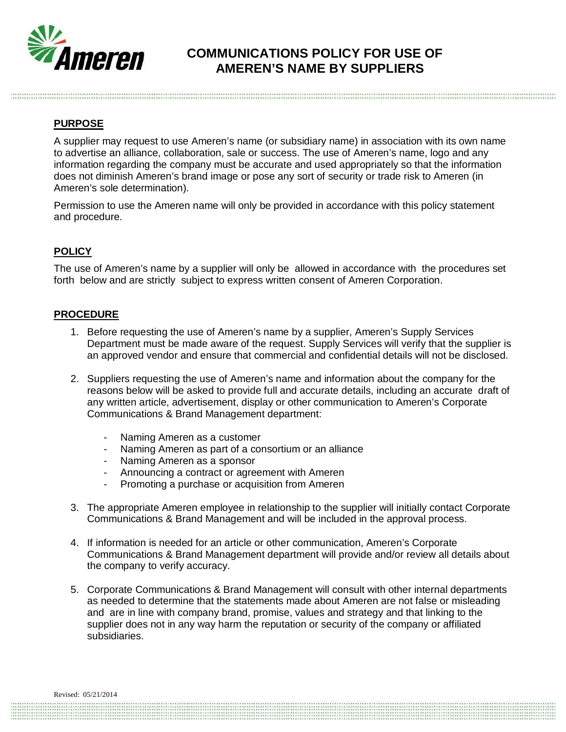

## **COMMUNICATIONS POLICY FOR USE OF AMEREN'S NAME BY SUPPLIERS**

## **PURPOSE**

A supplier may request to use Ameren's name (or subsidiary name) in association with its own name to advertise an alliance, collaboration, sale or success. The use of Ameren's name, logo and any information regarding the company must be accurate and used appropriately so that the information does not diminish Ameren's brand image or pose any sort of security or trade risk to Ameren (in Ameren's sole determination).

Permission to use the Ameren name will only be provided in accordance with this policy statement and procedure.

## **POLICY**

The use of Ameren's name by a supplier will only be allowed in accordance with the procedures set forth below and are strictly subject to express written consent of Ameren Corporation.

## **PROCEDURE**

- 1. Before requesting the use of Ameren's name by a supplier, Ameren's Supply Services Department must be made aware of the request. Supply Services will verify that the supplier is an approved vendor and ensure that commercial and confidential details will not be disclosed.
- 2. Suppliers requesting the use of Ameren's name and information about the company for the reasons below will be asked to provide full and accurate details, including an accurate draft of any written article, advertisement, display or other communication to Ameren's Corporate Communications & Brand Management department:
	- Naming Ameren as a customer
	- Naming Ameren as part of a consortium or an alliance
	- Naming Ameren as a sponsor
	- Announcing a contract or agreement with Ameren
	- Promoting a purchase or acquisition from Ameren
- 3. The appropriate Ameren employee in relationship to the supplier will initially contact Corporate Communications & Brand Management and will be included in the approval process.
- 4. If information is needed for an article or other communication, Ameren's Corporate Communications & Brand Management department will provide and/or review all details about the company to verify accuracy.
- 5. Corporate Communications & Brand Management will consult with other internal departments as needed to determine that the statements made about Ameren are not false or misleading and are in line with company brand, promise, values and strategy and that linking to the supplier does not in any way harm the reputation or security of the company or affiliated subsidiaries.